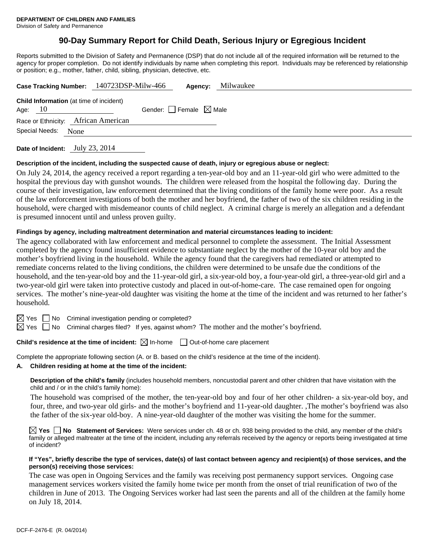# **90-Day Summary Report for Child Death, Serious Injury or Egregious Incident**

Reports submitted to the Division of Safety and Permanence (DSP) that do not include all of the required information will be returned to the agency for proper completion. Do not identify individuals by name when completing this report. Individuals may be referenced by relationship or position; e.g., mother, father, child, sibling, physician, detective, etc.

| Case Tracking Number: 140723DSP-Milw-466                    | Milwaukee<br>Agency:            |
|-------------------------------------------------------------|---------------------------------|
| <b>Child Information</b> (at time of incident)<br>Age: $10$ | Gender: Female $\boxtimes$ Male |
| Race or Ethnicity: African American                         |                                 |
| Special Needs:<br>None                                      |                                 |
|                                                             |                                 |

**Date of Incident:** July 23, 2014

#### **Description of the incident, including the suspected cause of death, injury or egregious abuse or neglect:**

On July 24, 2014, the agency received a report regarding a ten-year-old boy and an 11-year-old girl who were admitted to the hospital the previous day with gunshot wounds. The children were released from the hospital the following day. During the course of their investigation, law enforcement determined that the living conditions of the family home were poor. As a result of the law enforcement investigations of both the mother and her boyfriend, the father of two of the six children residing in the household, were charged with misdemeanor counts of child neglect. A criminal charge is merely an allegation and a defendant is presumed innocent until and unless proven guilty.

#### **Findings by agency, including maltreatment determination and material circumstances leading to incident:**

The agency collaborated with law enforcement and medical personnel to complete the assessment. The Initial Assessment completed by the agency found insufficient evidence to substantiate neglect by the mother of the 10-year old boy and the mother's boyfriend living in the household. While the agency found that the caregivers had remediated or attempted to remediate concerns related to the living conditions, the children were determined to be unsafe due the conditions of the household, and the ten-year-old boy and the 11-year-old girl, a six-year-old boy, a four-year-old girl, a three-year-old girl and a two-year-old girl were taken into protective custody and placed in out-of-home-care. The case remained open for ongoing services. The mother's nine-year-old daughter was visiting the home at the time of the incident and was returned to her father's household.

 $\boxtimes$  Yes  $\Box$  No Criminal investigation pending or completed?

 $\boxtimes$  Yes  $\Box$  No Criminal charges filed? If yes, against whom? The mother and the mother's boyfriend.

# **Child's residence at the time of incident:**  $\boxtimes$  In-home  $\Box$  Out-of-home care placement

Complete the appropriate following section (A. or B. based on the child's residence at the time of the incident).

**A. Children residing at home at the time of the incident:**

**Description of the child's family** (includes household members, noncustodial parent and other children that have visitation with the child and / or in the child's family home):

 The household was comprised of the mother, the ten-year-old boy and four of her other children- a six-year-old boy, and four, three, and two-year old girls- and the mother's boyfriend and 11-year-old daughter. ,The mother's boyfriend was also the father of the six-year old-boy. A nine-year-old daughter of the mother was visiting the home for the summer.

**Yes No Statement of Services:** Were services under ch. 48 or ch. 938 being provided to the child, any member of the child's family or alleged maltreater at the time of the incident, including any referrals received by the agency or reports being investigated at time of incident?

#### **If "Yes", briefly describe the type of services, date(s) of last contact between agency and recipient(s) of those services, and the person(s) receiving those services:**

The case was open in Ongoing Services and the family was receiving post permanency support services. Ongoing case management services workers visited the family home twice per month from the onset of trial reunification of two of the children in June of 2013. The Ongoing Services worker had last seen the parents and all of the children at the family home on July 18, 2014.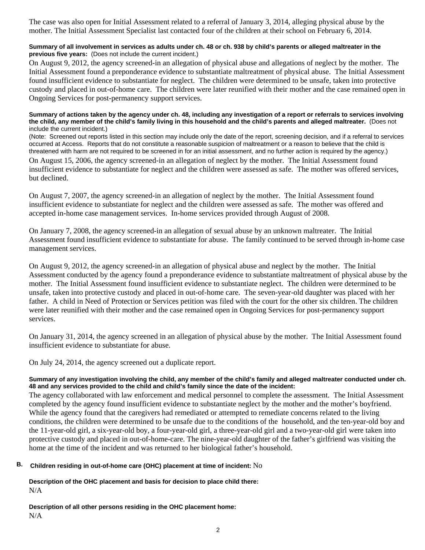The case was also open for Initial Assessment related to a referral of January 3, 2014, alleging physical abuse by the mother. The Initial Assessment Specialist last contacted four of the children at their school on February 6, 2014.

### **Summary of all involvement in services as adults under ch. 48 or ch. 938 by child's parents or alleged maltreater in the previous five years:** (Does not include the current incident.)

On August 9, 2012, the agency screened-in an allegation of physical abuse and allegations of neglect by the mother. The Initial Assessment found a preponderance evidence to substantiate maltreatment of physical abuse. The Initial Assessment found insufficient evidence to substantiate for neglect. The children were determined to be unsafe, taken into protective custody and placed in out-of-home care. The children were later reunified with their mother and the case remained open in Ongoing Services for post-permanency support services.

#### **Summary of actions taken by the agency under ch. 48, including any investigation of a report or referrals to services involving the child, any member of the child's family living in this household and the child's parents and alleged maltreater.** (Does not include the current incident.)

(Note: Screened out reports listed in this section may include only the date of the report, screening decision, and if a referral to services occurred at Access. Reports that do not constitute a reasonable suspicion of maltreatment or a reason to believe that the child is threatened with harm are not required to be screened in for an initial assessment, and no further action is required by the agency.)

On August 15, 2006, the agency screened-in an allegation of neglect by the mother. The Initial Assessment found insufficient evidence to substantiate for neglect and the children were assessed as safe. The mother was offered services, but declined.

On August 7, 2007, the agency screened-in an allegation of neglect by the mother. The Initial Assessment found insufficient evidence to substantiate for neglect and the children were assessed as safe. The mother was offered and accepted in-home case management services. In-home services provided through August of 2008.

On January 7, 2008, the agency screened-in an allegation of sexual abuse by an unknown maltreater. The Initial Assessment found insufficient evidence to substantiate for abuse. The family continued to be served through in-home case management services.

On August 9, 2012, the agency screened-in an allegation of physical abuse and neglect by the mother. The Initial Assessment conducted by the agency found a preponderance evidence to substantiate maltreatment of physical abuse by the mother. The Initial Assessment found insufficient evidence to substantiate neglect. The children were determined to be unsafe, taken into protective custody and placed in out-of-home care. The seven-year-old daughter was placed with her father. A child in Need of Protection or Services petition was filed with the court for the other six children. The children were later reunified with their mother and the case remained open in Ongoing Services for post-permanency support services.

On January 31, 2014, the agency screened in an allegation of physical abuse by the mother. The Initial Assessment found insufficient evidence to substantiate for abuse.

On July 24, 2014, the agency screened out a duplicate report.

### **Summary of any investigation involving the child, any member of the child's family and alleged maltreater conducted under ch. 48 and any services provided to the child and child's family since the date of the incident:**

The agency collaborated with law enforcement and medical personnel to complete the assessment. The Initial Assessment completed by the agency found insufficient evidence to substantiate neglect by the mother and the mother's boyfriend. While the agency found that the caregivers had remediated or attempted to remediate concerns related to the living conditions, the children were determined to be unsafe due to the conditions of the household, and the ten-year-old boy and the 11-year-old girl, a six-year-old boy, a four-year-old girl, a three-year-old girl and a two-year-old girl were taken into protective custody and placed in out-of-home-care. The nine-year-old daughter of the father's girlfriend was visiting the home at the time of the incident and was returned to her biological father's household.

# **B. Children residing in out-of-home care (OHC) placement at time of incident:** No

**Description of the OHC placement and basis for decision to place child there:** N/A

**Description of all other persons residing in the OHC placement home:** N/A